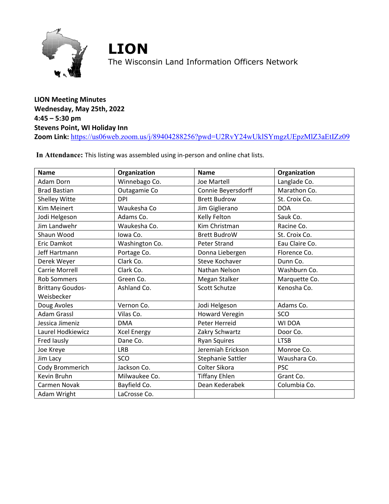

**LION** The Wisconsin Land Information Officers Network

**LION Meeting Minutes Wednesday, May 25th, 2022 4:45 – 5:30 pm Stevens Point, WI Holiday Inn Zoom Link:** [https://us06web.zoom.us/j/89404288256?pwd=U2RvY24wUklSYmgzUEpzMlZ3aEtIZz09](https://gcc02.safelinks.protection.outlook.com/?url=https%3A%2F%2Furldefense.com%2Fv3%2F__https%3A%2F%2Fus06web.zoom.us%2Fj%2F89404288256%3Fpwd%3DU2RvY24wUklSYmgzUEpzMlZ3aEtIZz09__%3B!!P0By7ASypJ5s!5fmJrsoV46v_sA2K36jcLmiJgxN0v17j8qS-cOfaXfOgDIrnqSuMkBQkTxFAq0lLauAGaNQqfgDcEAxll93oVbNo_hLEhFW7Nw0DhbYrbw4Kq5w%24&data=05%7C01%7CJLandwehr%40waukeshacounty.gov%7Cca90c85e02e943b27daf08da3e8db38c%7Ce73e7aacbf234753b33df405529c3fb6%7C0%7C0%7C637891075569077100%7CUnknown%7CTWFpbGZsb3d8eyJWIjoiMC4wLjAwMDAiLCJQIjoiV2luMzIiLCJBTiI6Ik1haWwiLCJXVCI6Mn0%3D%7C3000%7C%7C%7C&sdata=LWb9Ubv38xeKA4iFkurbrUQFjvIyGX55VTRhUxx%2BQ00%3D&reserved=0)

**In Attendance:** This listing was assembled using in-person and online chat lists.

| <b>Name</b>             | Organization       | <b>Name</b>           | Organization   |
|-------------------------|--------------------|-----------------------|----------------|
| <b>Adam Dorn</b>        | Winnebago Co.      | <b>Joe Martell</b>    | Langlade Co.   |
| <b>Brad Bastian</b>     | Outagamie Co       | Connie Beyersdorff    | Marathon Co.   |
| <b>Shelley Witte</b>    | <b>DPI</b>         | <b>Brett Budrow</b>   | St. Croix Co.  |
| <b>Kim Meinert</b>      | Waukesha Co        | Jim Giglierano        | <b>DOA</b>     |
| Jodi Helgeson           | Adams Co.          | Kelly Felton          | Sauk Co.       |
| Jim Landwehr            | Waukesha Co.       | Kim Christman         | Racine Co.     |
| Shaun Wood              | lowa Co.           | <b>Brett BudroW</b>   | St. Croix Co.  |
| Eric Damkot             | Washington Co.     | <b>Peter Strand</b>   | Eau Claire Co. |
| Jeff Hartmann           | Portage Co.        | Donna Liebergen       | Florence Co.   |
| Derek Weyer             | Clark Co.          | <b>Steve Kochaver</b> | Dunn Co.       |
| Carrie Morrell          | Clark Co.          | Nathan Nelson         | Washburn Co.   |
| <b>Rob Sommers</b>      | Green Co.          | Megan Stalker         | Marquette Co.  |
| <b>Brittany Goudos-</b> | Ashland Co.        | Scott Schutze         | Kenosha Co.    |
| Weisbecker              |                    |                       |                |
| Doug Avoles             | Vernon Co.         | Jodi Helgeson         | Adams Co.      |
| <b>Adam Grassl</b>      | Vilas Co.          | <b>Howard Veregin</b> | SCO            |
| Jessica Jimeniz         | <b>DMA</b>         | Peter Herreid         | WI DOA         |
| Laurel Hodkiewicz       | <b>Xcel Energy</b> | Zakry Schwartz        | Door Co.       |
| Fred lausly             | Dane Co.           | <b>Ryan Squires</b>   | <b>LTSB</b>    |
| Joe Kreye               | <b>LRB</b>         | Jeremiah Erickson     | Monroe Co.     |
| Jim Lacy                | SCO                | Stephanie Sattler     | Waushara Co.   |
| Cody Brommerich         | Jackson Co.        | Colter Sikora         | <b>PSC</b>     |
| Kevin Bruhn             | Milwaukee Co.      | <b>Tiffany Ehlen</b>  | Grant Co.      |
| Carmen Novak            | Bayfield Co.       | Dean Kederabek        | Columbia Co.   |
| Adam Wright             | LaCrosse Co.       |                       |                |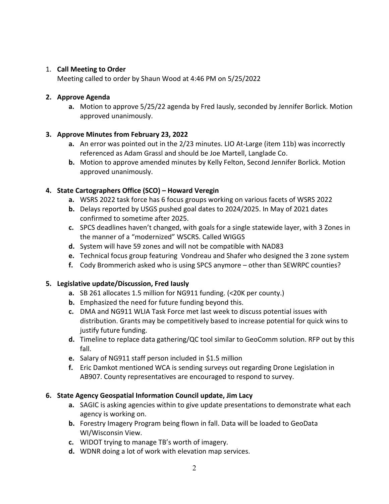## 1. **Call Meeting to Order**

Meeting called to order by Shaun Wood at 4:46 PM on 5/25/2022

### **2. Approve Agenda**

**a.** Motion to approve 5/25/22 agenda by Fred Iausly, seconded by Jennifer Borlick. Motion approved unanimously.

## **3. Approve Minutes from February 23, 2022**

- **a.** An error was pointed out in the 2/23 minutes. LIO At-Large (item 11b) was incorrectly referenced as Adam Grassl and should be Joe Martell, Langlade Co.
- **b.** Motion to approve amended minutes by Kelly Felton, Second Jennifer Borlick. Motion approved unanimously.

## **4. State Cartographers Office (SCO) – Howard Veregin**

- **a.** WSRS 2022 task force has 6 focus groups working on various facets of WSRS 2022
- **b.** Delays reported by USGS pushed goal dates to 2024/2025. In May of 2021 dates confirmed to sometime after 2025.
- **c.** SPCS deadlines haven't changed, with goals for a single statewide layer, with 3 Zones in the manner of a "modernized" WSCRS. Called WIGGS
- **d.** System will have 59 zones and will not be compatible with NAD83
- **e.** Technical focus group featuring Vondreau and Shafer who designed the 3 zone system
- **f.** Cody Brommerich asked who is using SPCS anymore other than SEWRPC counties?

#### **5. Legislative update/Discussion, Fred Iausly**

- **a.** SB 261 allocates 1.5 million for NG911 funding. (<20K per county.)
- **b.** Emphasized the need for future funding beyond this.
- **c.** DMA and NG911 WLIA Task Force met last week to discuss potential issues with distribution. Grants may be competitively based to increase potential for quick wins to justify future funding.
- **d.** Timeline to replace data gathering/QC tool similar to GeoComm solution. RFP out by this fall.
- **e.** Salary of NG911 staff person included in \$1.5 million
- **f.** Eric Damkot mentioned WCA is sending surveys out regarding Drone Legislation in AB907. County representatives are encouraged to respond to survey.

#### **6. State Agency Geospatial Information Council update, Jim Lacy**

- **a.** SAGIC is asking agencies within to give update presentations to demonstrate what each agency is working on.
- **b.** Forestry Imagery Program being flown in fall. Data will be loaded to GeoData WI/Wisconsin View.
- **c.** WIDOT trying to manage TB's worth of imagery.
- **d.** WDNR doing a lot of work with elevation map services.